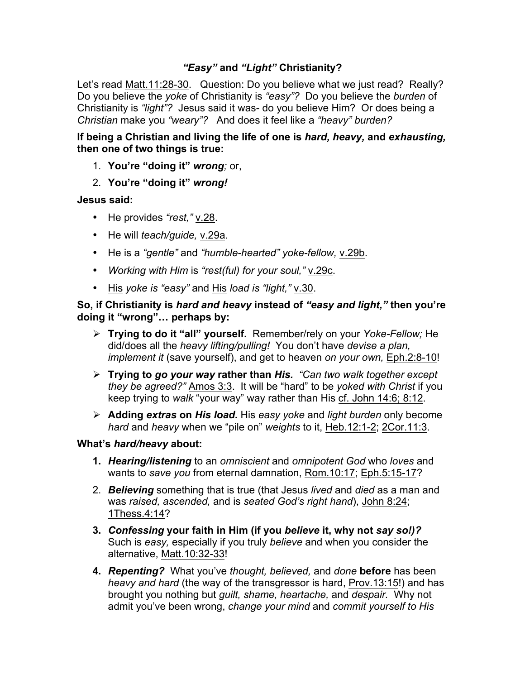## *"Easy"* **and** *"Light"* **Christianity?**

Let's read Matt.11:28-30. Question: Do you believe what we just read? Really? Do you believe the *yoke* of Christianity is *"easy"?* Do you believe the *burden* of Christianity is *"light"?* Jesus said it was- do you believe Him? Or does being a *Christian* make you *"weary"?* And does it feel like a *"heavy" burden?* 

**If being a Christian and living the life of one is** *hard, heavy,* **and** *exhausting,*  **then one of two things is true:**

- 1. **You're "doing it"** *wrong;* or,
- 2. **You're "doing it"** *wrong!*

## **Jesus said:**

- He provides *"rest,"* v.28.
- He will *teach/guide,* v.29a.
- He is a *"gentle"* and *"humble-hearted" yoke-fellow,* v.29b.
- *Working with Him* is *"rest(ful) for your soul,"* v.29c.
- His *yoke is "easy"* and His *load is "light,"* v.30.

## **So, if Christianity is** *hard and heavy* **instead of** *"easy and light,"* **then you're doing it "wrong"… perhaps by:**

- Ø **Trying to do it "all" yourself.** Remember/rely on your *Yoke-Fellow;* He did/does all the *heavy lifting/pulling!* You don't have *devise a plan, implement it* (save yourself), and get to heaven *on your own,* Eph.2:8-10!
- Ø **Trying to** *go your way* **rather than** *His. "Can two walk together except they be agreed?"* Amos 3:3. It will be "hard" to be *yoked with Christ* if you keep trying to *walk* "your way" way rather than His cf. John 14:6; 8:12.
- Ø **Adding** *extras* **on** *His load.* His *easy yoke* and *light burden* only become *hard* and *heavy* when we "pile on" *weights* to it, Heb.12:1-2; 2Cor.11:3.

## **What's** *hard/heavy* **about:**

- **1.** *Hearing/listening* to an *omniscient* and *omnipotent God* who *loves* and wants to *save you* from eternal damnation, Rom.10:17; Eph.5:15-17?
- 2. *Believing* something that is true (that Jesus *lived* and *died* as a man and was *raised, ascended,* and is *seated God's right hand*), John 8:24; 1Thess.4:14?
- **3.** *Confessing* **your faith in Him (if you** *believe* **it, why not** *say so!)?*  Such is *easy,* especially if you truly *believe* and when you consider the alternative, Matt.10:32-33!
- **4.** *Repenting?* What you've *thought, believed,* and *done* **before** has been *heavy and hard* (the way of the transgressor is hard, Prov.13:15!) and has brought you nothing but *guilt, shame, heartache,* and *despair.* Why not admit you've been wrong, *change your mind* and *commit yourself to His*